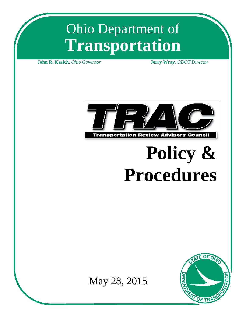# Ohio Department of **Transportation**

**John R. Kasich,** *Ohio Governor* **Jerry Wray,** *ODOT Director*



# **Policy & Procedures**



May 28, 2015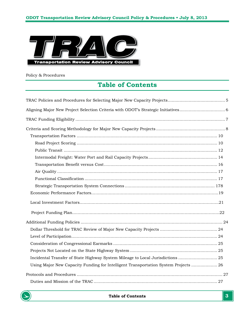

Policy & Procedures

# **Table of Contents**

| Incidental Transfer of State Highway System Mileage to Local Jurisdictions  25      |
|-------------------------------------------------------------------------------------|
| Using Major New Capacity Funding for Intelligent Transportation System Projects  26 |
|                                                                                     |
|                                                                                     |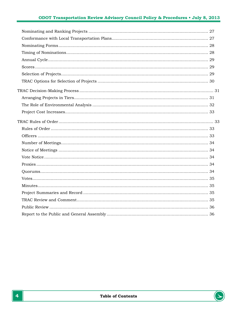# ODOT Transportation Review Advisory Council Policy & Procedures . July 8, 2013

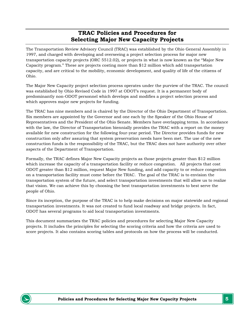# **TRAC Policies and Procedures for Selecting Major New Capacity Projects**

<span id="page-4-0"></span>The Transportation Review Advisory Council (TRAC) was established by the Ohio General Assembly in 1997, and charged with developing and overseeing a project selection process for major new transportation capacity projects (ORC 5512.02), or projects in what is now known as the "Major New Capacity program." These are projects costing more than \$12 million which add transportation capacity, and are critical to the mobility, economic development, and quality of life of the citizens of Ohio.

The Major New Capacity project selection process operates under the purview of the TRAC. The council was established by Ohio Revised Code in 1997 at ODOT's request. It is a permanent body of predominantly non-ODOT personnel which develops and modifies a project selection process and which approves major new projects for funding.

The TRAC has nine members and is chaired by the Director of the Ohio Department of Transportation. Six members are appointed by the Governor and one each by the Speaker of the Ohio House of Representatives and the President of the Ohio Senate. Members have overlapping terms. In accordance with the law, the Director of Transportation biennially provides the TRAC with a report on the money available for new construction for the following four-year period. The Director provides funds for new construction only after assuring that system preservation needs have been met. The use of the new construction funds is the responsibility of the TRAC, but the TRAC does not have authority over other aspects of the Department of Transportation.

Formally, the TRAC defines Major New Capacity projects as those projects greater than \$12 million which increase the capacity of a transportation facility or reduce congestion. All projects that cost ODOT greater than \$12 million, request Major New funding, and add capacity to or reduce congestion on a transportation facility must come before the TRAC. The goal of the TRAC is to envision the transportation system of the future, and select transportation investments that will allow us to realize that vision. We can achieve this by choosing the best transportation investments to best serve the people of Ohio.

Since its inception, the purpose of the TRAC is to help make decisions on major statewide and regional transportation investments. It was not created to fund local roadway and bridge projects. In fact, ODOT has several programs to aid local transportation investments.

This document summarizes the TRAC policies and procedures for selecting Major New Capacity projects. It includes the principles for selecting the scoring criteria and how the criteria are used to score projects. It also contains scoring tables and protocols on how the process will be conducted.

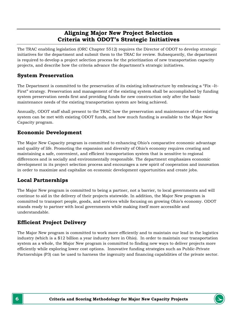# **Aligning Major New Project Selection Criteria with ODOT's Strategic Initiatives**

<span id="page-5-0"></span>The TRAC enabling legislation (ORC Chapter 5512) requires the Director of ODOT to develop strategic initiatives for the department and submit them to the TRAC for review. Subsequently, the department is required to develop a project selection process for the prioritization of new transportation capacity projects, and describe how the criteria advance the department's strategic initiatives.

# **System Preservation**

The Department is committed to the preservation of its existing infrastructure by embracing a "Fix –It-First" strategy. Preservation and management of the existing system shall be accomplished by funding system preservation needs first and providing funds for new construction only after the basic maintenance needs of the existing transportation system are being achieved.

Annually, ODOT staff shall present to the TRAC how the preservation and maintenance of the existing system can be met with existing ODOT funds, and how much funding is available to the Major New Capacity program.

# **Economic Development**

The Major New Capacity program is committed to enhancing Ohio's comparative economic advantage and quality of life. Promoting the expansion and diversity of Ohio's economy requires creating and maintaining a safe, convenient, and efficient transportation system that is sensitive to regional differences and is socially and environmentally responsible. The department emphasizes economic development in its project selection process and encourages a new spirit of cooperation and innovation in order to maximize and capitalize on economic development opportunities and create jobs.

# **Local Partnerships**

The Major New program is committed to being a partner, not a barrier, to local governments and will continue to aid in the delivery of their projects statewide. In addition, the Major New program is committed to transport people, goods, and services while focusing on growing Ohio's economy. ODOT stands ready to partner with local governments while making itself more accessible and understandable.

# **Efficient Project Delivery**

The Major New program is committed to work more efficiently and to maintain our lead in the logistics industry (which is a \$12 billion a year industry here in Ohio). In order to maintain our transportation system as a whole, the Major New program is committed to finding new ways to deliver projects more efficiently while exploring lower cost options. Innovative funding strategies such as Public-Private Partnerships (P3) can be used to harness the ingenuity and financing capabilities of the private sector.

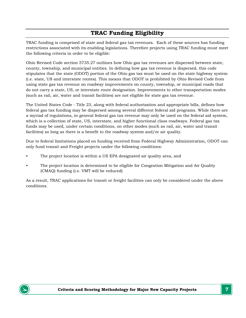# **TRAC Funding Eligibility**

<span id="page-6-0"></span>TRAC funding is comprised of state and federal gas tax revenues. Each of these sources has funding restrictions associated with its enabling legislations. Therefore projects using TRAC funding must meet the following criteria in order to be eligible:

Ohio Revised Code section 5735.27 outlines how Ohio gas tax revenues are dispersed between state, county, township, and municipal entities. In defining how gas tax revenue is dispersed, this code stipulates that the state (ODOT) portion of the Ohio gas tax must be used on the state highway system (i.e. state, US and interstate routes). This means that ODOT is prohibited by Ohio Revised Code from using state gas tax revenue on roadway improvements on county, township, or municipal roads that do not carry a state, US, or interstate route designation. Improvements to other transportation modes (such as rail, air, water and transit facilities) are not eligible for state gas tax revenue.

The United States Code - Title 23, along with federal authorization and appropriate bills, defines how federal gas tax funding may be dispersed among several different federal aid programs. While there are a myriad of regulations, in general federal gas tax revenue may only be used on the federal aid system, which is a collection of state, US, interstate, and higher functional class roadways. Federal gas tax funds may be used, under certain conditions, on other modes (such as rail, air, water and transit facilities) so long as there is a benefit to the roadway system and/or air quality.

Due to federal limitations placed on funding received from Federal Highway Administration, ODOT can only fund transit and Freight projects under the following conditions:

- The project location is within a US EPA designated air quality area, and
- The project location is determined to be eligible for Congestion Mitigation and Air Quality (CMAQ) funding (i.e. VMT will be reduced)

As a result, TRAC applications for transit or freight facilities can only be considered under the above conditions.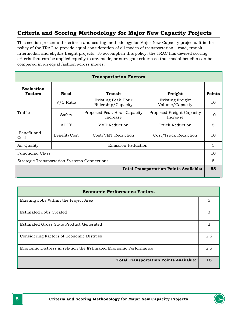# <span id="page-7-0"></span>**Criteria and Scoring Methodology for Major New Capacity Projects**

This section presents the criteria and scoring methodology for Major New Capacity projects. It is the policy of the TRAC to provide equal consideration of all modes of transportation – road, transit, intermodal, and eligible freight projects. To accomplish this policy, the TRAC has devised scoring criteria that can be applied equally to any mode, or surrogate criteria so that modal benefits can be compared in an equal fashion across modes.

| <b>Transportation Factors</b>                 |                           |                                                 |                                            |               |
|-----------------------------------------------|---------------------------|-------------------------------------------------|--------------------------------------------|---------------|
| Evaluation<br><b>Factors</b>                  | Road                      | <b>Transit</b>                                  | Freight                                    | <b>Points</b> |
|                                               | V/C Ratio                 | <b>Existing Peak Hour</b><br>Ridership/Capacity | <b>Existing Freight</b><br>Volume/Capacity | 10            |
| Traffic                                       | Safety                    | Proposed Peak Hour Capacity<br>Increase         | Proposed Freight Capacity<br>Increase      | 10            |
|                                               | <b>ADTT</b>               | <b>VMT</b> Reduction                            | Truck Reduction                            | 5             |
| Benefit and<br>Cost                           | Benefit/Cost              | Cost/VMT Reduction                              | Cost/Truck Reduction                       | 10            |
| Air Quality                                   | <b>Emission Reduction</b> |                                                 |                                            | 5             |
| <b>Functional Class</b>                       |                           |                                                 | 10                                         |               |
| Strategic Transportation Systems Connections  |                           |                                                 | 5                                          |               |
| <b>Total Transportation Points Available:</b> |                           |                                                 | 55                                         |               |

| <b>Economic Performance Factors</b>                              |     |  |
|------------------------------------------------------------------|-----|--|
| Existing Jobs Within the Project Area                            | 5   |  |
| Estimated Jobs Created                                           | 3   |  |
| Estimated Gross State Product Generated                          | 2   |  |
| Considering Factors of Economic Distress                         | 2.5 |  |
| Economic Distress in relation the Estimated Economic Performance | 2.5 |  |
| <b>Total Transportation Points Available:</b>                    | 15  |  |

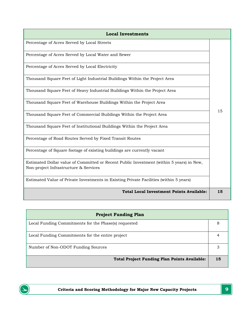| <b>Local Investments</b>                                                                                                          |    |
|-----------------------------------------------------------------------------------------------------------------------------------|----|
| Percentage of Acres Served by Local Streets                                                                                       |    |
| Percentage of Acres Served by Local Water and Sewer                                                                               |    |
| Percentage of Acres Served by Local Electricity                                                                                   |    |
| Thousand Square Feet of Light Industrial Buildings Within the Project Area                                                        |    |
| Thousand Square Feet of Heavy Industrial Buildings Within the Project Area                                                        |    |
| Thousand Square Feet of Warehouse Buildings Within the Project Area                                                               |    |
| Thousand Square Feet of Commercial Buildings Within the Project Area                                                              | 15 |
| Thousand Square Feet of Institutional Buildings Within the Project Area                                                           |    |
| Percentage of Road Routes Served by Fixed Transit Routes                                                                          |    |
| Percentage of Square footage of existing buildings are currently vacant                                                           |    |
| Estimated Dollar value of Committed or Recent Public Investment (within 5 years) in New,<br>Non-project Infrastructure & Services |    |
| Estimated Value of Private Investments in Existing Private Facilities (within 5 years)                                            |    |
| <b>Total Local Investment Points Available:</b>                                                                                   | 15 |

| <b>Project Funding Plan</b>                          |    |
|------------------------------------------------------|----|
| Local Funding Commitments for the Phase(s) requested | 8  |
| Local Funding Commitments for the entire project     |    |
| Number of Non-ODOT Funding Sources                   |    |
| <b>Total Project Funding Plan Points Available:</b>  | 15 |

D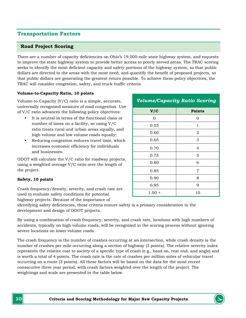# <span id="page-9-0"></span>**Transportation Factors**

#### <span id="page-9-1"></span>**Road Project Scoring**

There are a number of capacity deficiencies on Ohio's 19,000-mile state highway system, and requests to improve the state highway system to provide better access to poorly served areas. The TRAC scoring seeks to identify the most deficient capacity and safety portions of the highway system, so that public dollars are directed to the areas with the most need, and quantify the benefit of proposed projects, so that public dollars are generating the greatest return possible. To achieve these policy objectives, the TRAC will consider congestion, safety, and truck traffic criteria.

#### **Volume-to-Capacity Ratio, 10 points**

Volume-to-Capacity (V/C) ratio is a simple, accurate, universally recognized measure of road congestion. Use of V/C ratio advances the following policy objectives:

- It is neutral in terms of the functional class or number of lanes on a facility, so using V/C ratio treats rural and urban areas equally, and high volume and low volume roads equally;
- Reducing congestion reduces travel time, which increases economic efficiency for individuals and businesses.

ODOT will calculate the  $V/C$ using a weighted average  $V/C$ the project.

#### **Safety, 10 points**

Crash frequency/density, several used to evaluate safety condi highway projects. Because of the importance of

| ratio for roadway projects,<br>C ratio over the length of | 0.80     |    |
|-----------------------------------------------------------|----------|----|
|                                                           | 0.85     |    |
|                                                           | 0.90     |    |
|                                                           | 0.95     |    |
| verity, and crash rate are<br>itions for potential        | $1.00 +$ | 10 |
| 2011 - Contra a contra a contra Co                        |          |    |

*Volume/Capacity Ratio Scoring*

**V/C Points** 0 0 0.55 1  $0.60$  2 0.65 3

0.70 4 0.75 5

identifying safety deficiencies, these criteria ensure safety is a primary consideration in the development and design of ODOT projects.

By using a combination of crash frequency, severity, and crash rate, locations with high numbers of accidents, typically on high volume roads, will be recognized in the scoring process without ignoring severe locations on lower volume roads.

The crash frequency is the number of crashes occurring at an intersection, while crash density is the number of crashes per mile occurring along a section of highway (3 points). The relative severity index represents the relative cost to society of a specific type of crash (e.g., head on, rear end, and angle) and is worth a total of 4 points. The crash rate is the rate of crashes per million miles of vehicular travel occurring on a route (3 points). All these factors will be based on the data for the most recent consecutive three year period, with crash factors weighted over the length of the project. The weightings and scale are presented in the table below.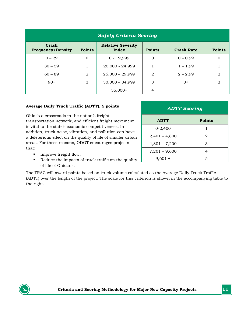| <b>Safety Criteria Scoring</b>    |               |                                   |                |                   |               |
|-----------------------------------|---------------|-----------------------------------|----------------|-------------------|---------------|
| Crash<br><b>Frequency/Density</b> | <b>Points</b> | <b>Relative Severity</b><br>Index | <b>Points</b>  | <b>Crash Rate</b> | <b>Points</b> |
| $0 - 29$                          | $\Omega$      | $0 - 19,999$                      | $\Omega$       | $0 - 0.99$        |               |
| $30 - 59$                         |               | 20,000 - 24,999                   |                | $1 - 1.99$        |               |
| $60 - 89$                         | 2             | $25,000 - 29,999$                 | $\overline{2}$ | $2 - 2.99$        | 2             |
| $90+$                             | 3             | $30,000 - 34,999$                 | 3              | $3+$              | 3             |
|                                   |               | $35,000+$                         | 4              |                   |               |

#### **Average Daily Truck Traffic (ADTT), 5 points**

Ohio is a crossroads in the nation's freight transportation network, and efficient freight movement is vital to the state's economic competitiveness. In addition, truck noise, vibration, and pollution can have a deleterious effect on the quality of life of smaller urban areas. For these reasons, ODOT encourages projects that:

| <b>ADTT Scoring</b> |               |  |
|---------------------|---------------|--|
| <b>ADTT</b>         | <b>Points</b> |  |
| $0-2,400$           |               |  |
| $2,401 - 4,800$     | 2             |  |
| $4,801 - 7,200$     | 3             |  |
| $7,201 - 9,600$     |               |  |
| $9,601 +$           | 5             |  |

- **Improve freight flow;**
- Reduce the impacts of truck traffic on the quality of life of Ohioans.

The TRAC will award points based on truck volume calculated as the Average Daily Truck Traffic (ADTT) over the length of the project. The scale for this criterion is shown in the accompanying table to the right.

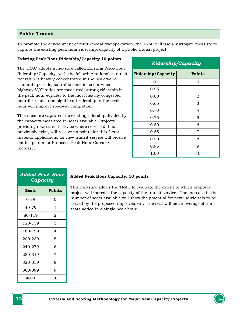#### <span id="page-11-0"></span>**Public Transit**

To promote the development of multi-modal transportation, the TRAC will use a surrogate measure to capture the existing peak hour ridership/capacity of a public transit project.

#### **Existing Peak Hour Ridership/Capacity 10 points**

The TRAC adopts a measure called Existing Peak-Hour Ridership/Capacity, with the following rationale: transit ridership is heavily concentrated in the peak work commute periods, so traffic benefits occur when highway V/C ratios are measured; strong ridership in the peak hour equates to the most heavily congested hour for roads, and significant ridership in the peak hour will improve roadway congestion.

This measure captures the existing ridership divided by the capacity measured in seats available. Projects providing new transit service where service did not previously exist, will receive no points for this factor. Instead, applications for new transit service will receive double points for Proposed Peak Hour Capacity Increase.

| <b>Ridership/Capacity</b> |               |  |
|---------------------------|---------------|--|
| <b>Ridership/Capacity</b> | <b>Points</b> |  |
| 0                         | 0             |  |
| 0.55                      | $\mathbf{1}$  |  |
| 0.60                      | 2             |  |
| 0.65                      | 3             |  |
| 0.70                      | 4             |  |
| 0.75                      | 5             |  |
| 0.80                      | 6             |  |
| 0.85                      | 7             |  |
| 0.90                      | 8             |  |
| 0.95                      | 9             |  |
| 1.00                      | 10            |  |

| <b>Added Peak Hour</b><br>Capacity |        |  |  |
|------------------------------------|--------|--|--|
| Seats                              | Points |  |  |
| $0 - 39$                           | 0      |  |  |
| 40-79                              | 1      |  |  |
| 80-119                             | 2      |  |  |
| 120-159                            | 3      |  |  |
| 160-199                            | 4      |  |  |
| 200-239                            | 5      |  |  |
| 240-279                            | 6      |  |  |
| 280-319                            | 7      |  |  |
| 320-359                            | 8      |  |  |
| 360-399                            | 9      |  |  |
| 400+                               | 10     |  |  |

#### **Added Peak Hour Capacity, 10 points**

This measure allows the TRAC to evaluate the extent to which proposed project will increase the capacity of the transit service. The increase in the number of seats available will show the potential for new individuals to be served by the proposed improvement. The seat will be an average of the seats added in a single peak hour.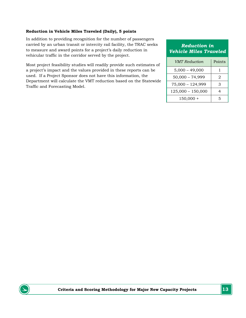#### **Reduction in Vehicle Miles Traveled (Daily), 5 points**

In addition to providing recognition for the number of passengers carried by an urban transit or intercity rail facility, the TRAC seeks to measure and award points for a project's daily reduction in vehicular traffic in the corridor served by the project.

Most project feasibility studies will readily provide such estimates of a project's impact and the values provided in these reports can be used. If a Project Sponsor does not have this information, the Department will calculate the VMT reduction based on the Statewide Traffic and Forecasting Model.

### *Reduction in Vehicle Miles Traveled*

| <b>VMT</b> Reduction | Points |
|----------------------|--------|
| $5,000 - 49,000$     | 1      |
| $50,000 - 74,999$    | 2      |
| $75,000 - 124,999$   | З      |
| $125,000 - 150,000$  |        |
| $150,000 +$          | 5      |

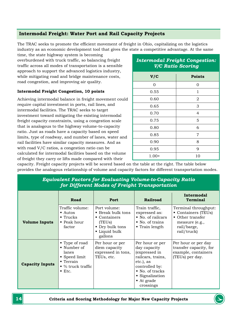# <span id="page-13-0"></span>**Intermodal Freight: Water Port and Rail Capacity Projects**

The TRAC seeks to promote the efficient movement of freight in Ohio, capitalizing on the logistics industry as an economic development tool that gives the state a competitive advantage. At the same

time, the state highway system is becoming overburdened with truck traffic, so balancing freight traffic across all modes of transportation is a sensible approach to support the advanced logistics industry, while mitigating road and bridge maintenance costs, road congestion, and improving air quality.

#### **Intermodal Freight Congestion, 10 points**

Achieving intermodal balance in freight movement could require capital investment in ports, rail lines, and intermodal facilities. The TRAC seeks to target investment toward mitigating the existing intermodal freight capacity constraints, using a congestion scale that is analogous to the highway volume-to-capacity ratio. Just as roads have a capacity based on speed limits, type of roadway, and number of lanes, water and rail facilities have similar capacity measures. And as with road V/C ratios, a congestion ratio can be calculated for intermodal facilities based on the volume of freight they carry or lifts made compared with their

# *Intermodal Freight Congestion: V/C Ratio Scoring*

| V/C     | <b>Points</b>  |
|---------|----------------|
| 0       | 0              |
| 0.55    | $\mathbf{1}$   |
| 0.60    | $\overline{2}$ |
| 0.65    | 3              |
| 0.70    | $\overline{4}$ |
| 0.75    | 5              |
| 0.80    | 6              |
| 0.85    | 7              |
| 0.90    | 8              |
| 0.95    | 9              |
| $1.00+$ | 10             |

capacity. Freight capacity projects will be scored based on the table at the right. The table below provides the analogous relationship of volume and capacity factors for different transportation modes.

| jor Different modes of Freight Transportation |                                                                                                                                       |                                                                                                                              |                                                                                                                                                                                  |                                                                                                                            |
|-----------------------------------------------|---------------------------------------------------------------------------------------------------------------------------------------|------------------------------------------------------------------------------------------------------------------------------|----------------------------------------------------------------------------------------------------------------------------------------------------------------------------------|----------------------------------------------------------------------------------------------------------------------------|
|                                               | Road                                                                                                                                  | Port                                                                                                                         | <b>Railroad</b>                                                                                                                                                                  | Intermodal<br><b>Terminal</b>                                                                                              |
| <b>Volume Inputs</b>                          | Traffic volume:<br>$\blacksquare$ Autos<br>$\blacksquare$ Trucks<br>$\blacksquare$ Peak hour<br>factor                                | Port volume:<br><b>Break bulk tons</b><br>$\blacksquare$ Containers<br>(TEUs)<br>• Dry bulk tons<br>• Liquid bulk<br>gallons | Train traffic,<br>expressed as:<br>• No. of railcars<br>• No. of trains<br>$\blacksquare$ Train length                                                                           | Terminal throughput:<br>Containers (TEUs)<br>$\blacksquare$ Other transfer<br>measure (e.g.,<br>rail/barge,<br>rail/truck) |
| <b>Capacity Inputs</b>                        | ■ Type of road<br>■ Number of<br>lanes<br>■ Speed limit<br>$\blacksquare$ Terrain<br>$\bullet$ % truck traffic<br>$\blacksquare$ Etc. | Per hour or per<br>diem capacity<br>expressed in tons,<br>TEUs, etc.                                                         | Per hour or per<br>day capacity<br>(expressed in<br>railcars, trains,<br>etc.), as<br>controlled by:<br>No. of tracks<br>• Signalization<br>$\blacksquare$ At grade<br>crossings | Per hour or per day<br>transfer capacity, for<br>example, containers<br>(TEUs) per day.                                    |

#### *Equivalent Factors for Evaluating Volume-to-Capacity Ratio for Different Modes of Freight Transportation*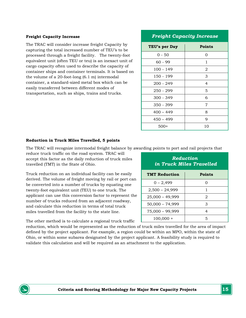#### **Freight Capacity Increase**

The TRAC will consider increase freight Capacity by capturing the total increased number of TEU's to be processed through a freight facility. The twenty-foot equivalent unit (often TEU or teu) is an inexact unit of cargo capacity often used to describe the capacity of container ships and container terminals. It is based on the volume of a 20-foot-long (6.1 m) intermodal container, a standard-sized metal box which can be easily transferred between different modes of transportation, such as ships, trains and trucks.

#### *Freight Capacity Increase*

| TEU's per Day | <b>Points</b> |
|---------------|---------------|
| $0 - 50$      | 0             |
| $60 - 99$     | 1             |
| $100 - 149$   | 2             |
| 150 - 199     | 3             |
| $200 - 249$   | 4             |
| 250 - 299     | 5             |
| $300 - 349$   | 6             |
| $350 - 399$   | 7             |
| $400 - 449$   | 8             |
| $450 - 499$   | 9             |
| $500+$        | 10            |

#### **Reduction in Truck Miles Travelled, 5 points**

The TRAC will recognize intermodal freight balance by awarding points to port and rail projects that

reduce truck traffic on the road system. TRAC will accept this factor as the daily reduction of truck miles travelled (TMT) in the State of Ohio.

Truck reduction on an individual facility can be easily derived. The volume of freight moving by rail or port can be converted into a number of trucks by equating one twenty-foot equivalent unit (TEU) to one truck. The applicant can use this conversion factor to represent the number of trucks reduced from an adjacent roadway, and calculate this reduction in terms of total truck miles travelled from the facility to the state line.

| Reduction<br>in Truck Miles Travelled |        |  |  |
|---------------------------------------|--------|--|--|
| <b>TMT Reduction</b>                  | Points |  |  |
| $0 - 2,499$                           | Ω      |  |  |
| $2,500 - 24,999$                      | 1      |  |  |
| $25,000 - 49,999$                     | 2      |  |  |
| $50,000 - 74,999$                     | 3      |  |  |
| $75,000 - 99,999$                     | 4      |  |  |
| $100,000 +$                           | 5      |  |  |

The other method is to calculate a regional truck traffic

reduction, which would be represented as the reduction of truck miles travelled for the area of impact defined by the project applicant. For example, a region could be within an MPO, within the state of Ohio, or within some subarea designated by the project applicant. A feasibility study is required to validate this calculation and will be required as an attachment to the application.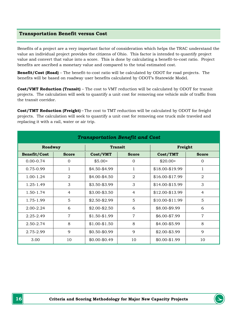#### <span id="page-15-0"></span>**Transportation Benefit versus Cost**

Benefits of a project are a very important factor of consideration which helps the TRAC understand the value an individual project provides the citizens of Ohio. This factor is intended to quantify project value and convert that value into a score. This is done by calculating a benefit-to-cost ratio. Project benefits are ascribed a monetary value and compared to the total estimated cost.

**Benefit/Cost (Road)** – The benefit-to-cost ratio will be calculated by ODOT for road projects. The benefits will be based on roadway user benefits calculated by ODOT's Statewide Model.

**Cost/VMT Reduction (Transit)** – The cost to VMT reduction will be calculated by ODOT for transit projects. The calculation will seek to quantify a unit cost for removing one vehicle mile of traffic from the transit corridor.

**Cost/TMT Reduction (Freight)** – The cost to TMT reduction will be calculated by ODOT for freight projects. The calculation will seek to quantify a unit cost for removing one truck mile traveled and replacing it with a rail, water or air trip.

| <b>Transportation Benefit and Cost</b> |                |                 |                |                 |                |
|----------------------------------------|----------------|-----------------|----------------|-----------------|----------------|
| Roadway<br><b>Transit</b>              |                | Freight         |                |                 |                |
| <b>Benefit/Cost</b>                    | <b>Score</b>   | Cost/VMT        | <b>Score</b>   | Cost/TMT        | <b>Score</b>   |
| $0.00 - 0.74$                          | $\Omega$       | $$5.00+$        | $\Omega$       | $$20.00+$       | $\Omega$       |
| 0.75-0.99                              | 1              | \$4.50-\$4.99   | $\mathbf{1}$   | \$18.00-\$19.99 | 1              |
| 1.00-1.24                              | $\overline{2}$ | \$4.00-\$4.50   | $\overline{2}$ | \$16.00-\$17.99 | $\overline{2}$ |
| 1.25-1.49                              | 3              | $$3.50 - $3.99$ | 3              | \$14.00-\$15.99 | 3              |
| 1.50-1.74                              | $\overline{4}$ | $$3.00 - $3.50$ | $\overline{4}$ | \$12.00-\$13.99 | $\overline{4}$ |
| 1.75-1.99                              | 5              | $$2.50 - $2.99$ | 5              | \$10.00-\$11.99 | 5              |
| $2.00 - 2.24$                          | 6              | $$2.00 - $2.50$ | 6              | \$8.00-\$9.99   | 6              |
| 2.25-2.49                              | $\overline{7}$ | $$1.50 - $1.99$ | $\overline{7}$ | \$6.00-\$7.99   | $\overline{7}$ |
| 2.50-2.74                              | 8              | $$1.00 - $1.50$ | 8              | $$4.00 - $5.99$ | 8              |
| 2.75-2.99                              | 9              | $$0.50 - $0.99$ | $\mathbf Q$    | $$2.00 - $3.99$ | 9              |
| 3.00                                   | 10             | $$0.00 - $0.49$ | 10             | $$0.00 - $1.99$ | 10             |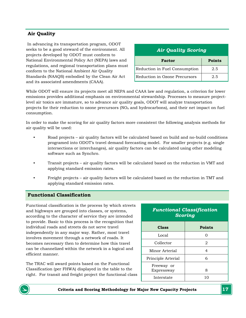# <span id="page-16-0"></span>**Air Quality**

In advancing its transportation program, ODOT seeks to be a good steward of the environment. All projects developed by ODOT must conform to National Environmental Policy Act (NEPA) laws and regulations, and regional transportation plans must conform to the National Ambient Air Quality Standards (NAAQS) embodied by the Clean Air Act and its associated amendments (CAAA).

| <b>Air Quality Scoring</b>    |     |  |
|-------------------------------|-----|--|
| <b>Points</b><br>Factor       |     |  |
| Reduction in Fuel Consumption | 2.5 |  |
| Reduction in Ozone Precursors | 2.5 |  |

While ODOT will ensure its projects meet all NEPA and CAAA law and regulation, a criterion for lower emissions provides additional emphasis on environmental stewardship. Processes to measure projectlevel air toxics are immature, so to advance air quality goals, ODOT will analyze transportation projects for their reduction to ozone precursors  $(NO<sub>x</sub>$  and hydrocarbons), and their net impact on fuel consumption.

In order to make the scoring for air quality factors more consistent the following analysis methods for air quality will be used:

- Road projects air quality factors will be calculated based on build and no-build conditions programed into ODOT's travel demand forecasting model. For smaller projects (e.g. single intersections or interchanges), air quality factors can be calculated using other modeling software such as Synchro.
- Transit projects air quality factors will be calculated based on the reduction in VMT and applying standard emission rates.
- Freight projects air quality factors will be calculated based on the reduction in TMT and applying standard emission rates.

#### <span id="page-16-1"></span>**Functional Classification**

Functional classification is the process by which streets and highways are grouped into classes, or systems, according to the character of service they are intended to provide. Basic to this process is the recognition that individual roads and streets do not serve travel independently in any major way. Rather, most travel involves movement through a network of roads. It becomes necessary then to determine how this travel can be channelized within the network in a logical and efficient manner.

The TRAC will award points based on the Functional Classification (per FHWA) displayed in the table to the right. For transit and freight project the functional class

| <b>Functional Classification</b> |
|----------------------------------|
| <b>Scoring</b>                   |

| <b>Class</b>             | <b>Points</b> |
|--------------------------|---------------|
| Local                    | 0             |
| Collector                | 2             |
| Minor Arterial           | 4             |
| Principle Arterial       | 6             |
| Freeway or<br>Expressway | 8             |
| Interstate               | 10            |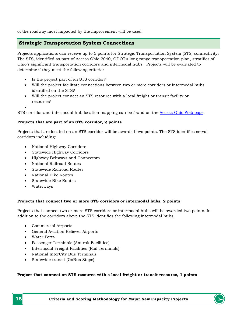of the roadway most impacted by the improvement will be used.

#### **Strategic Transportation System Connections**

Projects applications can receive up to 5 points for Strategic Transportation System (STS) connectivity. The STS, identified as part of Access Ohio 2040, ODOT's long range transportation plan, stratifies of Ohio's significant transportation corridors and intermodal hubs. Projects will be evaluated to determine if they meet the following criteria:

- Is the project part of an STS corridor?
- Will the project facilitate connections between two or more corridors or intermodal hubs identified on the STS?
- Will the project connect an STS resource with a local freight or transit facility or resource?
- •

STS corridor and intermodal hub location mapping can be found on the [Access Ohio Web page.](http://www.dot.state.oh.us/divisions/planning/spr/statewideplanning/access.ohio/pages/default.aspx)

#### **Projects that are part of an STS corridor, 2 points**

Projects that are located on an STS corridor will be awarded two points. The STS identifies serval corridors including:

- National Highway Corridors
- Statewide Highway Corridors
- Highway Beltways and Connectors
- National Railroad Routes
- Statewide Railroad Routes
- National Bike Routes
- Statewide Bike Routes
- Waterways

#### **Projects that connect two or more STS corridors or intermodal hubs, 2 points**

Projects that connect two or more STS corridors or intermodal hubs will be awarded two points. In addition to the corridors above the STS identifies the following intermodal hubs:

- Commercial Airports
- General Aviation Reliever Airports
- Water Ports
- Passenger Terminals (Amtrak Facilities)
- Intermodal Freight Facilities (Rail Terminals)
- National InterCity Bus Terminals
- Statewide transit (GoBus Stops)

#### **Project that connect an STS resource with a local freight or transit resource, 1 points**

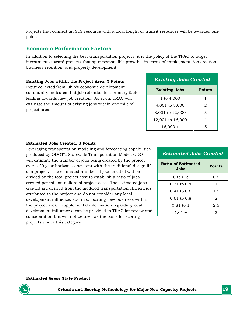Projects that connect an STS resource with a local freight or transit resources will be awarded one point.

#### **Economic Performance Factors**

In addition to selecting the best transportation projects, it is the policy of the TRAC to target investments toward projects that spur responsible growth – in terms of employment, job creation, business retention, and property development.

#### **Existing Jobs within the Project Area, 5 Points**

Input collected from Ohio's economic development community indicates that job retention is a primary factor leading towards new job creation. As such, TRAC will evaluate the amount of existing jobs within one mile of project area.

| <b>Existing Jobs Created</b> |               |  |
|------------------------------|---------------|--|
| <b>Existing Jobs</b>         | <b>Points</b> |  |
| 1 to 4,000                   |               |  |
| 4,001 to 8,000               | 2             |  |
| 8,001 to 12,000              | З             |  |
| 12,001 to 16,000             |               |  |
| $16,000 +$                   | 5             |  |

#### **Estimated Jobs Created, 3 Points**

Leveraging transportation modeling and forecasting capabilities produced by ODOT's Statewide Transportation Model, ODOT will estimate the number of jobs being created by the project over a 20 year horizon, consistent with the traditional design life of a project. The estimated number of jobs created will be divided by the total project cost to establish a ratio of jobs created per million dollars of project cost. The estimated jobs created are derived from the modeled transportation efficiencies attributed to the project and do not consider any local development influence, such as, locating new business within the project area. Supplemental information regarding local development influence a can be provided to TRAC for review and consideration but will not be used as the basis for scoring projects under this category

| <b>Estimated Jobs Created</b> |  |  |
|-------------------------------|--|--|
|-------------------------------|--|--|

| <b>Ratio of Estimated</b><br>Jobs | <b>Points</b> |
|-----------------------------------|---------------|
| $0 \text{ to } 0.2$               | 0.5           |
| $0.21$ to $0.4$                   |               |
| $0.41$ to $0.6$                   | 1.5           |
| $0.61$ to $0.8$                   | 2             |
| $0.81$ to $1$                     | 2.5           |
| $1.01 +$                          |               |

#### **Estimated Gross State Product**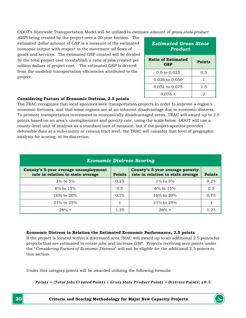ODOT's Statewide Transportation Model will be utilized to estimate amount of *gross state product*

*(GSP)* being created by the project over a 20 year horizon. The estimated dollar amount of GSP is a measure of the estimated economic output with respect to the movement off flows of goods and services. The estimated GSP created will be divided by the total project cost to establish a ratio of jobs created per million dollars of project cost. The estimated GSP is derived from the modeled transportation efficiencies attributed to the project.

| <b>Estimated Gross State</b><br>Product |        |  |
|-----------------------------------------|--------|--|
| <b>Ratio of Estimated</b><br>GSP        | Points |  |
| $0.0$ to $0.025$                        | 0.5    |  |
| 0.026 to 0.050                          |        |  |
| 0.051 to 0.075                          | 1.5    |  |
| 0.076 +                                 | 2      |  |

#### **Considering Factors of Economic Distress, 2.5 points**

The TRAC recognizes that local sponsors seek transportation projects in order to improve a region's economic fortunes, and that some regions are at an inherent disadvantage due to economic distress. To promote transportation investment in economically disadvantaged areas, TRAC will award up to 2.5 points based on an area's unemployment and poverty rate, using the scale below. ODOT will use a county-level unit of analysis as a standard unit of measure, but if the project sponsor provides defensible data at a sub-county or census tract level, the TRAC will consider that level of geographic analysis for scoring, at its discretion.

| <b>Economic Distress Scoring</b>                                          |               |                                                                      |               |  |  |  |  |
|---------------------------------------------------------------------------|---------------|----------------------------------------------------------------------|---------------|--|--|--|--|
| County's 5-year average unemployment<br>rate in relation to state average | <b>Points</b> | County's 5-year average poverty<br>rate in relation to state average | <b>Points</b> |  |  |  |  |
| 1\% to 5\%                                                                | 0.25          | 1% to $5%$                                                           | 0.25          |  |  |  |  |
| $6\%$ to $15\%$                                                           | 0.5           | $6\%$ to $15\%$                                                      | 0.5           |  |  |  |  |
| 16\% to 20\%                                                              | 0.75          | 16% to 20%                                                           | 0.75          |  |  |  |  |
| 21% to 25%                                                                |               | $21\%$ to $25\%$                                                     |               |  |  |  |  |
| $26% +$                                                                   | 1.25          | $26% +$                                                              | 1.25          |  |  |  |  |

#### **Economic Distress in Relation the Estimated Economic Performance, 2.5 points**

If the project is located within a distressed area TRAC will award up to an additional 2.5 points for projects that are estimated to create jobs and increase GSP. Projects receiving zero points under the "*Considering Factors of Economic Distress*" will not be eligible for the additional 2.5 points in this section.

Under this category points will be awarded utilizing the following formula:

```
Points = (Total Jobs Create Points + Gross State Product Points + Distress Points) x 0.5
```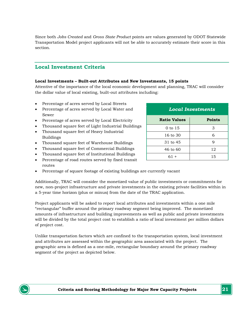Since both *Jobs Created* and *Gross State Product* points are values generated by ODOT Statewide Transportation Model project applicants will not be able to accurately estimate their score in this section.

# **Local Investment Criteria**

#### **Local Investments – Built-out Attributes and New Investments, 15 points**

Attentive of the importance of the local economic development and planning, TRAC will consider the dollar value of local existing, built-out attributes including:

- Percentage of acres served by Local Streets
- Percentage of acres served by Local Water and Sewer
- Percentage of acres served by Local Electricity
- Thousand square feet of Light Industrial Buildings
- Thousand square feet of Heavy Industrial Buildings
- Thousand square feet of Warehouse Buildings
- Thousand square feet of Commercial Buildings
- Thousand square feet of Institutional Buildings
- Percentage of road routes served by fixed transit routes
- Percentage of square footage of existing buildings are currently vacant

Additionally, TRAC will consider the monetized value of public investments or commitments for new, non-project infrastructure and private investments in the existing private facilities within in a 5-year time horizon (plus or minus) from the date of the TRAC application.

Project applicants will be asked to report local attributes and investments within a one mile "rectangular" buffer around the primary roadway segment being improved. The monetized amounts of infrastructure and building improvements as well as public and private investments will be divided by the total project cost to establish a ratio of local investment per million dollars of project cost.

Unlike transportation factors which are confined to the transportation system, local investment and attributes are assessed within the geographic area associated with the project. The geographic area is defined as a one-mile, rectangular boundary around the primary roadway segment of the project as depicted below.

| <b>Local Investments</b> |               |  |  |  |  |
|--------------------------|---------------|--|--|--|--|
| <b>Ratio Values</b>      | <b>Points</b> |  |  |  |  |
| $0$ to 15                | 3             |  |  |  |  |
| 16 to 30                 | 6             |  |  |  |  |
| 31 to 45                 | 9             |  |  |  |  |
| $46 \text{ to } 60$      | 12            |  |  |  |  |
| $61 +$                   | 15            |  |  |  |  |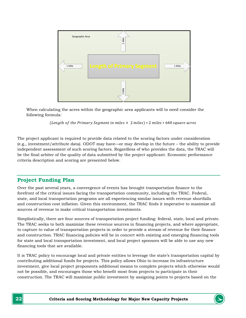

When calculating the acres within the geographic area applicants will to need consider the following formula:

(Length of the Primary Segment in miles  $+2$  miles)  $* 2$  miles  $* 640$  square acres

The project applicant is required to provide data related to the scoring factors under consideration (e.g., investment/attribute data). ODOT may have—or may develop in the future – the ability to provide independent assessment of such scoring factors. Regardless of who provides the data, the TRAC will be the final arbiter of the quality of data submitted by the project applicant. Economic performance criteria description and scoring are presented below.

# **Project Funding Plan**

Over the past several years, a convergence of events has brought transportation finance to the forefront of the critical issues facing the transportation community, including the TRAC. Federal, state, and local transportation programs are all experiencing similar issues with revenue shortfalls and construction cost inflation. Given this environment, the TRAC finds it imperative to maximize all sources of revenue to make critical transportation investments.

Simplistically, there are four sources of transportation project funding: federal, state, local and private. The TRAC seeks to both maximize these revenue sources in financing projects, and where appropriate, to capture to value of transportation projects in order to provide a stream of revenue for their finance and construction. TRAC financing policies will be in concert with existing and emerging financing tools for state and local transportation investment, and local project sponsors will be able to use any new financing tools that are available.

It is TRAC policy to encourage local and private entities to leverage the state's transportation capital by contributing additional funds for projects. This policy allows Ohio to increase its infrastructure investment, give local project proponents additional means to complete projects which otherwise would not be possible, and encourages those who benefit most from projects to participate in their construction. The TRAC will maximize public investment by assigning points to projects based on the

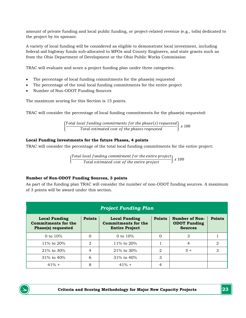amount of private funding and local public funding, or project-related revenue (e.g., tolls) dedicated to the project by its sponsor.

A variety of local funding will be considered as eligible to demonstrate local investment, including federal-aid highway funds sub-allocated to MPOs and County Engineers, and state grants such as from the Ohio Department of Development or the Ohio Public Works Commission

TRAC will evaluate and score a project funding plan under three categories:

- The percentage of local funding commitments for the phase(s) requested
- The percentage of the total local funding commitments for the entire project
- Number of Non-ODOT Funding Sources

The maximum scoring for this Section is 15 points.

TRAC will consider the percentage of local funding commitments for the phase(s) requested:

 $\left\{\begin{array}{l} \text{Total local funding commitments for the phase(s)} \ \text{Total estimated cost of the phases reaevist} \end{array}\right.$ Total estimated cost of the phases reqeusted  $\left\{ x\ 100\right\}$ 

#### **Local Funding Investments for the future Phases, 4 points**

TRAC will consider the percentage of the total local funding commitments for the entire project:

 $\left\{\frac{Total\ local\ funding\ commutment\ for\ the\ entire\ project}{Total\ estimated\ cost\ of\ the\ entire\ project}\right\} \ x\ 100$ 

#### **Number of Non-ODOT Funding Sources, 3 points**

As part of the funding plan TRAC will consider the number of non-ODOT funding sources. A maximum of 3 points will be award under this section.

| <b>Project Funding Plan</b>                                              |               |                                                                             |               |                                                         |               |  |  |  |
|--------------------------------------------------------------------------|---------------|-----------------------------------------------------------------------------|---------------|---------------------------------------------------------|---------------|--|--|--|
| <b>Local Funding</b><br><b>Commitments for the</b><br>Phase(s) requested | <b>Points</b> | <b>Local Funding</b><br><b>Commitments for the</b><br><b>Entire Project</b> | <b>Points</b> | Number of Non-<br><b>ODOT Funding</b><br><b>Sources</b> | <b>Points</b> |  |  |  |
| 0 to $10%$                                                               |               | 0 to $10%$                                                                  |               | 3                                                       |               |  |  |  |
| 11\% to $20\%$                                                           | $\mathcal{D}$ | 11\% to $20\%$                                                              |               | 4                                                       | 2             |  |  |  |
| $21\%$ to 30%                                                            | 4             | $21\%$ to 30%                                                               | $\mathcal{D}$ | $5 +$                                                   | 3             |  |  |  |
| $31\%$ to $40\%$                                                         | 6             | $31\%$ to $40\%$                                                            | 3             |                                                         |               |  |  |  |
| $41\% +$                                                                 | 8             | $41\% +$                                                                    | 4             |                                                         |               |  |  |  |

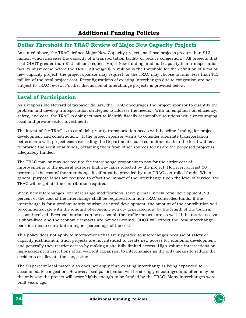# <span id="page-23-1"></span><span id="page-23-0"></span>**Dollar Threshold for TRAC Review of Major New Capacity Projects**

As stated above, the TRAC defines Major New Capacity projects as those projects greater than \$12 million which increase the capacity of a transportation facility or reduce congestion. All projects that cost ODOT greater than \$12 million, request Major New funding, and add capacity to a transportation facility must come before the TRAC. Although \$12 million is the threshold for the definition of a major new capacity project, the project sponsor may request, or the TRAC may choose to fund, less than \$12 million of the total project cost. Reconfigurations of existing interchanges due to congestion are not subject to TRAC review. Further discussion of interchange projects is provided below.

# <span id="page-23-2"></span>**Level of Participation**

As a responsible steward of taxpayer dollars, the TRAC encourages the project sponsor to quantify the problem and develop transportation strategies to address the needs. With an emphasis on efficiency, safety, and cost, the TRAC is doing its part to identify fiscally responsible solutions while encouraging local and private-sector investments.

The intent of the TRAC is to establish priority transportation needs with baseline funding for project development and construction. If the project sponsor wants to consider alternate transportation betterments with project costs exceeding the Department's base commitment, then the local will have to provide the additional funds, obtaining them from other sources to ensure the proposed project is adequately funded.

The TRAC may or may not require the interchange proponent to pay for the entire cost of improvements to the general purpose highway lanes affected by the project. However, at least 50 percent of the cost of the interchange itself must be provided by non-TRAC controlled funds. When general purpose lanes are required to offset the impact of the interchange upon the level of service, the TRAC will negotiate the contribution required.

When new interchanges, or interchange modifications, serve primarily new retail development, 90 percent of the cost of the interchange shall be required from non-TRAC controlled funds. If the interchange is for a predominantly tourism-oriented development, the amount of the contribution will be commensurate with the amount of economic activity generated and by the length of the tourism season involved. Because tourism can be seasonal, the traffic impacts are as well. If the tourist season is short-lived and the economic impacts are not year-round, ODOT will expect the local interchange beneficiaries to contribute a higher percentage of the cost.

This policy does not apply to intersections that are upgraded to interchanges because of safety or capacity justification. Such projects are not intended to create new access for economic development, and generally they restrict access by making a site fully limited access. High-volume intersections or high-accident intersections often warrant expansion to interchanges as the only means to reduce the accidents or alleviate the congestion.

The 50 percent local match also does not apply if an existing interchange is being expanded to accommodate congestion. However, local participation will be strongly encouraged and often may be the only way the project will score highly enough to be funded by the TRAC. Many interchanges were built years ago.

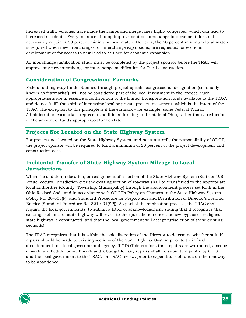Increased traffic volumes have made the ramps and merge lanes highly congested, which can lead to increased accidents. Every instance of ramp improvement or interchange improvement does not necessarily require a 50 percent minimum local match. However, the 50 percent minimum local match is required when new interchanges, or interchange expansions, are requested for economic development or for access to new land to be used for economic expansion.

An interchange justification study must be completed by the project sponsor before the TRAC will approve any new interchange or interchange modification for Tier I construction.

# <span id="page-24-0"></span>**Consideration of Congressional Earmarks**

Federal-aid highway funds obtained through project-specific congressional designation (commonly known as "earmarks"), will not be considered part of the local investment in the project. Such appropriations are in essence a contribution of the limited transportation funds available to the TRAC, and do not fulfill the spirit of increasing local or private project investment, which is the intent of the TRAC. The exception to this principle is if the earmark – for example, some Federal Transit Administration earmarks – represents additional funding to the state of Ohio, rather than a reduction in the amount of funds appropriated to the state.

# <span id="page-24-1"></span>**Projects Not Located on the State Highway System**

For projects not located on the State Highway System, and not statutorily the responsibility of ODOT, the project sponsor will be required to fund a minimum of 20 percent of the project development and construction cost.

# <span id="page-24-2"></span>**Incidental Transfer of State Highway System Mileage to Local Jurisdictions**

When the addition, relocation, or realignment of a portion of the State Highway System (State or U.S. Route) occurs, jurisdiction over the existing section of roadway shall be transferred to the appropriate local authorities (County, Township, Municipality) through the abandonment process set forth in the Ohio Revised Code and in accordance with ODOT's Policy on Changes to the State Highway System (Policy No. 20-005(P)) and Standard Procedure for Preparation and Distribution of Director's Journal Entries (Standard Procedure No. 321-001(SP)). As part of the application process, the TRAC shall require the local government(s) to submit a letter of acknowledgement stating that it recognizes that existing section(s) of state highway will revert to their jurisdiction once the new bypass or realigned state highway is constructed, and that the local government will accept jurisdiction of these existing section(s).

The TRAC recognizes that it is within the sole discretion of the Director to determine whether suitable repairs should be made to existing sections of the State Highway System prior to their final abandonment to a local governmental agency. If ODOT determines that repairs are warranted, a scope of work, a schedule for such work and a budget for any repairs shall be submitted jointly by ODOT and the local government to the TRAC, for TRAC review, prior to expenditure of funds on the roadway to be abandoned.

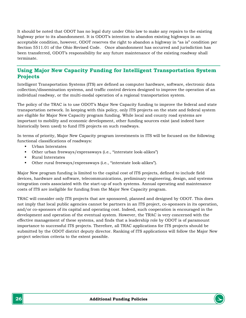It should be noted that ODOT has no legal duty under Ohio law to make any repairs to the existing highway prior to its abandonment. It is ODOT's intention to abandon existing highways in an acceptable condition, however, ODOT reserves the right to abandon a highway in "as is" condition per Section 5511.01 of the Ohio Revised Code. Once abandonment has occurred and jurisdiction has been transferred, ODOT's responsibility for any future maintenance of the existing roadway shall terminate.

# <span id="page-25-0"></span>**Using Major New Capacity Funding for Intelligent Transportation System Projects**

Intelligent Transportation Systems (ITS) are defined as computer hardware, software, electronic data collection/dissemination systems, and traffic control devices designed to improve the operation of an individual roadway, or the multi-modal operation of a regional transportation system.

The policy of the TRAC is to use ODOT's Major New Capacity funding to improve the federal and state transportation network. In keeping with this policy, only ITS projects on the state and federal system are eligible for Major New Capacity program funding. While local and county road systems are important to mobility and economic development, other funding sources exist (and indeed have historically been used) to fund ITS projects on such roadways.

In terms of priority, Major New Capacity program investments in ITS will be focused on the following functional classifications of roadways:

- Urban Interstates
- Other urban freeways/expressways (i.e., "interstate look-alikes")
- **Rural Interstates**
- Other rural freeways/expressways (i.e., "interstate look-alikes").

Major New program funding is limited to the capital cost of ITS projects, defined to include field devices, hardware and software, telecommunications, preliminary engineering, design, and systems integration costs associated with the start-up of such systems. Annual operating and maintenance costs of ITS are ineligible for funding from the Major New Capacity program.

TRAC will consider only ITS projects that are sponsored, planned and designed by ODOT. This does not imply that local public agencies cannot be partners in an ITS project, co-sponsors in its operation, and/or co-sponsors of its capital and operating cost. Indeed, such cooperation is encouraged in the development and operation of the eventual system. However, the TRAC is very concerned with the effective management of these systems, and finds that a leadership role by ODOT is of paramount importance to successful ITS projects. Therefore, all TRAC applications for ITS projects should be submitted by the ODOT district deputy director. Ranking of ITS applications will follow the Major New project selection criteria to the extent possible.

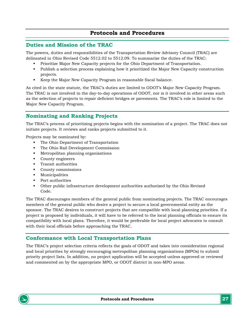# **Protocols and Procedures**

#### <span id="page-26-1"></span><span id="page-26-0"></span>**Duties and Mission of the TRAC**

The powers, duties and responsibilities of the Transportation Review Advisory Council (TRAC) are delineated in Ohio Revised Code 5512.02 to 5512.09. To summarize the duties of the TRAC:

- Prioritize Major New Capacity projects for the Ohio Department of Transportation.
- Publish a selection process explaining how it prioritized the Major New Capacity construction projects.
- Keep the Major New Capacity Program in reasonable fiscal balance.

As cited in the state statute, the TRAC's duties are limited to ODOT's Major New Capacity Program. The TRAC is not involved in the day-to-day operations of ODOT, nor is it involved in other areas such as the selection of projects to repair deficient bridges or pavements. The TRAC's role is limited to the Major New Capacity Program.

# <span id="page-26-2"></span>**Nominating and Ranking Projects**

The TRAC's process of prioritizing projects begins with the nomination of a project. The TRAC does not initiate projects. It reviews and ranks projects submitted to it.

Projects may be nominated by:

- The Ohio Department of Transportation
- The Ohio Rail Development Commission
- Metropolitan planning organizations
- County engineers
- **Transit authorities**
- County commissions
- Municipalities
- Port authorities
- Other public infrastructure development authorities authorized by the Ohio Revised Code.

The TRAC discourages members of the general public from nominating projects. The TRAC encourages members of the general public who desire a project to secure a local governmental entity as the sponsor. The TRAC desires to construct projects that are compatible with local planning priorities. If a project is proposed by individuals, it will have to be referred to the local planning officials to ensure its compatibility with local plans. Therefore, it would be preferable for local project advocates to consult with their local officials before approaching the TRAC.

# <span id="page-26-3"></span>**Conformance with Local Transportation Plans**

The TRAC's project selection criteria reflects the goals of ODOT and takes into consideration regional and local priorities by strongly encouraging metropolitan planning organizations (MPOs) to submit priority project lists. In addition, no project application will be accepted unless approved or reviewed and commented on by the appropriate MPO, or ODOT district in non-MPO areas.

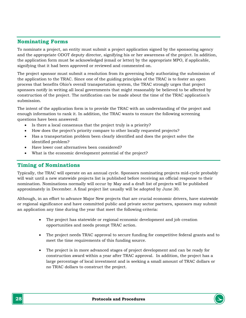# <span id="page-27-0"></span>**Nominating Forms**

To nominate a project, an entity must submit a project application signed by the sponsoring agency and the appropriate ODOT deputy director, signifying his or her awareness of the project. In addition, the application form must be acknowledged (email or letter) by the appropriate MPO, if applicable, signifying that it had been approved or reviewed and commented on.

The project sponsor must submit a resolution from its governing body authorizing the submission of the application to the TRAC. Since one of the guiding principles of the TRAC is to foster an open process that benefits Ohio's overall transportation system, the TRAC strongly urges that project sponsors notify in writing all local governments that might reasonably be believed to be affected by construction of the project. The notification can be made about the time of the TRAC application's submission.

The intent of the application form is to provide the TRAC with an understanding of the project and enough information to rank it. In addition, the TRAC wants to ensure the following screening questions have been answered:

- Is there a local consensus that the project truly is a priority?
- How does the project's priority compare to other locally requested projects?
- Has a transportation problem been clearly identified and does the project solve the identified problem?
- Have lower cost alternatives been considered?
- What is the economic development potential of the project?

#### <span id="page-27-1"></span>**Timing of Nominations**

Typically, the TRAC will operate on an annual cycle. Sponsors nominating projects mid-cycle probably will wait until a new statewide projects list is published before receiving an official response to their nomination. Nominations normally will occur by May and a draft list of projects will be published approximately in December. A final project list usually will be adopted by June 30.

Although, in an effort to advance Major New projects that are crucial economic drivers, have statewide or regional significance and have committed public and private sector partners, sponsors may submit an application any time during the year that meet the following criteria:

- The project has statewide or regional economic development and job creation opportunities and needs prompt TRAC action.
- The project needs TRAC approval to secure funding for competitive federal grants and to meet the time requirements of this funding source.
- The project is in more advanced stages of project development and can be ready for construction award within a year after TRAC approval. In addition, the project has a large percentage of local investment and is seeking a small amount of TRAC dollars or no TRAC dollars to construct the project.

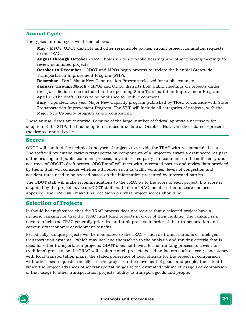# <span id="page-28-0"></span>**Annual Cycle**

The typical annual cycle will be as follows:

**May** - MPOs, ODOT districts and other responsible parties submit project nomination requests to the TRAC.

**August through October** - TRAC holds up to six public hearings and other working meetings to review nominated projects.

**October to December** - ODOT and MPOs begin process to update the biennial Statewide Transportation Improvement Program (STIP).

**December** - Draft Major New Construction Program released for public comment.

**January through March** - MPOs and ODOT districts hold public meetings on projects under their jurisdiction to be included in the upcoming State Transportation Improvement Program. **April 1** - The draft STIP is to be published for public comment.

**July** - Updated, four year Major New Capacity program published by TRAC to coincide with State Transportation Improvement Program. The STIP will include all categories of projects, with the Major New Capacity program as one component.

These annual dates are tentative. Because of the large number of federal approvals necessary for adoption of the STIP, the final adoption can occur as late as October. However, these dates represent the desired annual cycle.

#### <span id="page-28-1"></span>**Scores**

ODOT will conduct the technical analyses of projects to provide the TRAC with recommended scores. The staff will review the various transportation components of a project to award a draft score. As part of the hearing and public comment process, any interested party can comment on the sufficiency and accuracy of ODOT's draft scores. ODOT staff will meet with interested parties and review data provided by them. Staff will consider whether attributes such as traffic volumes, levels of congestion and accident rates need to be revised based on the information presented by interested parties.

The ODOT staff will make recommendations to the TRAC as to the score of each project. If a score is disputed by the project advocate, ODOT staff shall inform TRAC members that a score has been appealed. The TRAC will make final decisions on what project scores should be.

# <span id="page-28-2"></span>**Selection of Projects**

It should be emphasized that the TRAC process does not require that a selected project have a numeric ranking nor that the TRAC must fund projects in order of their ranking. The ranking is a means to help the TRAC generally prioritize and rank projects in order of their transportation and community/economic development benefits.

Periodically, unique projects will be nominated to the TRAC – such as transit stations or intelligent transportation systems – which may not lend themselves to the analysis and ranking criteria that is used for other transportation projects. ODOT does not have a formal ranking process to cover nontraditional projects, so the TRAC will evaluate such projects based on factors such as cost; consistency with local transportation plans; the stated preference of local officials for the project in comparison with other local requests; the effect of the project on the movement of goods and people; the extent to which the project advances other transportation goals; the estimated volume of usage and comparison of that usage to other transportation projects' ability to transport goods and people.

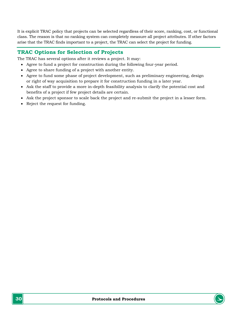It is explicit TRAC policy that projects can be selected regardless of their score, ranking, cost, or functional class. The reason is that no ranking system can completely measure all project attributes. If other factors arise that the TRAC finds important to a project, the TRAC can select the project for funding.

# <span id="page-29-0"></span>**TRAC Options for Selection of Projects**

The TRAC has several options after it reviews a project. It may:

- Agree to fund a project for construction during the following four-year period.
- Agree to share funding of a project with another entity.
- Agree to fund some phase of project development, such as preliminary engineering, design or right of way acquisition to prepare it for construction funding in a later year.
- Ask the staff to provide a more in-depth feasibility analysis to clarify the potential cost and benefits of a project if few project details are certain.
- Ask the project sponsor to scale back the project and re-submit the project in a lesser form.
- Reject the request for funding.

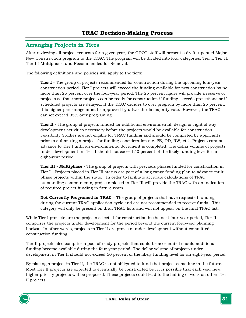# **TRAC Decision-Making Process**

# <span id="page-30-1"></span><span id="page-30-0"></span>**Arranging Projects in Tiers**

After reviewing all project requests for a given year, the ODOT staff will present a draft, updated Major New Construction program to the TRAC. The program will be divided into four categories: Tier I, Tier II, Tier III-Multiphase, and Recommended for Removal.

The following definitions and policies will apply to the tiers:

**Tier I** - The group of projects recommended for construction during the upcoming four-year construction period. Tier I projects will exceed the funding available for new construction by no more than 25 percent over the four-year period. The 25 percent figure will provide a reserve of projects so that more projects can be ready for construction if funding exceeds projections or if scheduled projects are delayed. If the TRAC decides to over program by more than 25 percent, this higher percentage must be approved by a two-thirds majority vote. However, the TRAC cannot exceed 35% over programing.

**Tier II** - The group of projects funded for additional environmental, design or right of way development activities necessary before the projects would be available for construction. Feasibility Studies are not eligible for TRAC funding and should be completed by applicants prior to submitting a project for funding consideration (i.e. PE, DD, RW, etc). Projects cannot advance to Tier I until an environmental document is completed. The dollar volume of projects under development in Tier II should not exceed 50 percent of the likely funding level for an eight-year period.

**Tier III - Multiphase -** The group of projects with previous phases funded for construction in Tier I. Projects placed in Tier III status are part of a long range funding plan to advance multiphase projects within the state. In order to facilitate accurate calculations of TRAC outstanding commitments, projects placed in Tier III will provide the TRAC with an indication of required project funding in future years.

**Not Currently Programed in TRAC** – The group of projects that have requested funding during the current TRAC application cycle and are not recommended to receive funds. This category will only be present on draft TRAC lists and will not appear on the final TRAC list.

While Tier I projects are the projects selected for construction in the next four-year period, Tier II comprises the projects under development for the period beyond the current four-year planning horizon. In other words, projects in Tier II are projects under development without committed construction funding.

Tier II projects also comprise a pool of ready projects that could be accelerated should additional funding become available during the four-year period. The dollar volume of projects under development in Tier II should not exceed 50 percent of the likely funding level for an eight-year period.

By placing a project in Tier II, the TRAC is not obligated to fund that project sometime in the future. Most Tier II projects are expected to eventually be constructed but it is possible that each year new, higher priority projects will be proposed. These projects could lead to the halting of work on other Tier II projects.

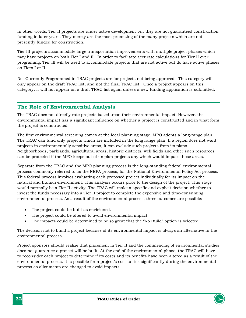In other words, Tier II projects are under active development but they are not guaranteed construction funding in later years. They merely are the most promising of the many projects which are not presently funded for construction.

Tier III projects accommodate large transportation improvements with multiple project phases which may have projects on both Tier I and II. In order to facilitate accurate calculations for Tier II over programing, Tier III will be used to accommodate projects that are not active but do have active phases on Tiers I or II.

Not Currently Programmed in TRAC projects are for projects not being approved. This category will only appear on the draft TRAC list, and not the final TRAC list. Once a project appears on this category, it will not appear on a draft TRAC list again unless a new funding application is submitted.

# <span id="page-31-0"></span>**The Role of Environmental Analysis**

The TRAC does not directly rate projects based upon their environmental impact. However, the environmental impact has a significant influence on whether a project is constructed and in what form the project is constructed.

The first environmental screening comes at the local planning stage. MPO adopts a long-range plan. The TRAC can fund only projects which are included in the long range plan. If a region does not want projects in environmentally sensitive areas, it can exclude such projects from its plans. Neighborhoods, parklands, agricultural areas, historic districts, well fields and other such resources can be protected if the MPO keeps out of its plan projects any which would impact those areas.

Separate from the TRAC and the MPO planning process is the long-standing federal environmental process commonly referred to as the NEPA process, for the National Environmental Policy Act process. This federal process involves evaluating each proposed project individually for its impact on the natural and human environment. This analysis occurs prior to the design of the project. This stage would normally be a Tier II activity. The TRAC will make a specific and explicit decision whether to invest the funds necessary into a Tier II project to complete the expensive and time-consuming environmental process. As a result of the environmental process, three outcomes are possible:

- The project could be built as envisioned.
- The project could be altered to avoid environmental impact.
- The impacts could be determined to be so great that the "No Build" option is selected.

The decision not to build a project because of its environmental impact is always an alternative in the environmental process.

Project sponsors should realize that placement in Tier II and the commencing of environmental studies does not guarantee a project will be built. At the end of the environmental phase, the TRAC will have to reconsider each project to determine if its costs and its benefits have been altered as a result of the environmental process. It is possible for a project's cost to rise significantly during the environmental process as alignments are changed to avoid impacts.

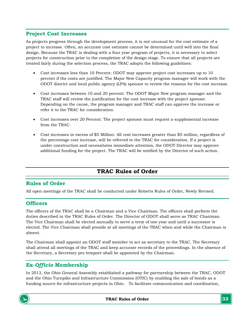# <span id="page-32-0"></span>**Project Cost Increases**

As projects progress through the development process, it is not unusual for the cost estimate of a project to increase. Often, an accurate cost estimate cannot be determined until well into the final design. Because the TRAC is dealing with a four year program of projects, it is necessary to select projects for construction prior to the completion of the design stage. To ensure that all projects are treated fairly during the selection process, the TRAC adopts the following guidelines:

- Cost increases less than 10 Percent: ODOT may approve project cost increases up to 10 percent if the costs are justified. The Major New Capacity program manager will work with the ODOT district and local public agency (LPA) sponsor to review the reasons for the cost increase.
- Cost increases between 10 and 20 percent: The ODOT Major New program manager and the TRAC staff will review the justification for the cost increase with the project sponsor. Depending on the cause, the program manager and TRAC staff can approve the increase or refer it to the TRAC for consideration.
- Cost increases over 20 Percent: The project sponsor must request a supplemental increase from the TRAC.
- Cost increases in excess of \$5 Million: All cost increases greater than \$5 million, regardless of the percentage cost increase, will be referred to the TRAC for consideration. If a project is under construction and necessitates immediate attention, the ODOT Director may approve additional funding for the project. The TRAC will be notified by the Director of such action.

# **TRAC Rules of Order**

# <span id="page-32-2"></span><span id="page-32-1"></span>**Rules of Order**

All open meetings of the TRAC shall be conducted under Roberts Rules of Order, Newly Revised.

# <span id="page-32-3"></span>**Officers**

The officers of the TRAC shall be a Chairman and a Vice Chairman. The officers shall perform the duties described in the TRAC Rules of Order. The Director of ODOT shall serve as TRAC Chairman. The Vice Chairman shall be elected annually to serve a term of one year and until a successor is elected. The Vice Chairman shall preside at all meetings of the TRAC when and while the Chairman is absent.

The Chairman shall appoint an ODOT staff member to act as secretary to the TRAC. The Secretary shall attend all meetings of the TRAC and keep accurate records of the proceedings. In the absence of the Secretary, a Secretary pro tempore shall be appointed by the Chairman.

# **Ex-***Officio* **Membership**

In 2013, the Ohio General Assembly established a pathway for partnership between the TRAC, ODOT and the Ohio Turnpike and Infrastructure Commission (OTIC) by enabling the sale of bonds as a funding source for infrastructure projects in Ohio. To facilitate communication and coordination,

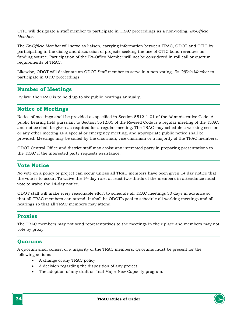OTIC will designate a staff member to participate in TRAC proceedings as a non-voting, *Ex-Officio Member*.

The *Ex-Officio Member* will serve as liaison, carrying information between TRAC, ODOT and OTIC by participating in the dialog and discussion of projects seeking the use of OTIC bond revenues as funding source. Participation of the Ex-Offico Member will not be considered in roll call or quorum requirements of TRAC.

Likewise, ODOT will designate an ODOT Staff member to serve in a non-voting, *Ex-Officio Member* to participate in OTIC proceedings.

# <span id="page-33-0"></span>**Number of Meetings**

By law, the TRAC is to hold up to six public hearings annually.

#### <span id="page-33-1"></span>**Notice of Meetings**

Notice of meetings shall be provided as specified in Section 5512-1-01 of the Administrative Code. A public hearing held pursuant to Section 5512.05 of the Revised Code is a regular meeting of the TRAC, and notice shall be given as required for a regular meeting. The TRAC may schedule a working session or any other meeting as a special or emergency meeting, and appropriate public notice shall be provided. Meetings may be called by the chairman, vice chairman or a majority of the TRAC members.

ODOT Central Office and district staff may assist any interested party in preparing presentations to the TRAC if the interested party requests assistance.

# <span id="page-33-2"></span>**Vote Notice**

No vote on a policy or project can occur unless all TRAC members have been given 14 day notice that the vote is to occur. To waive the 14-day rule, at least two-thirds of the members in attendance must vote to waive the 14-day notice.

ODOT staff will make every reasonable effort to schedule all TRAC meetings 30 days in advance so that all TRAC members can attend. It shall be ODOT's goal to schedule all working meetings and all hearings so that all TRAC members may attend.

#### <span id="page-33-3"></span>**Proxies**

The TRAC members may not send representatives to the meetings in their place and members may not vote by proxy.

# <span id="page-33-4"></span>**Quorums**

A quorum shall consist of a majority of the TRAC members. Quorums must be present for the following actions:

- A change of any TRAC policy.
- A decision regarding the disposition of any project.
- The adoption of any draft or final Major New Capacity program.

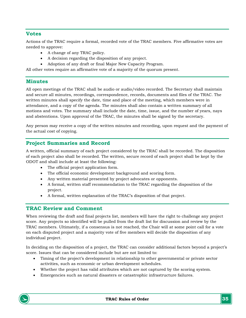# <span id="page-34-0"></span>**Votes**

Actions of the TRAC require a formal, recorded vote of the TRAC members. Five affirmative votes are needed to approve:

- A change of any TRAC policy.
- A decision regarding the disposition of any project.
- Adoption of any draft or final Major New Capacity Program.

All other votes require an affirmative vote of a majority of the quorum present.

### <span id="page-34-1"></span>**Minutes**

All open meetings of the TRAC shall be audio or audio/video recorded. The Secretary shall maintain and secure all minutes, recordings, correspondence, records, documents and files of the TRAC. The written minutes shall specify the date, time and place of the meeting, which members were in attendance, and a copy of the agenda. The minutes shall also contain a written summary of all motions and votes. The summary shall include the date, time, issue, and the number of years, nays and abstentions. Upon approval of the TRAC, the minutes shall be signed by the secretary.

Any person may receive a copy of the written minutes and recording, upon request and the payment of the actual cost of copying.

# <span id="page-34-2"></span>**Project Summaries and Record**

A written, official summary of each project considered by the TRAC shall be recorded. The disposition of each project also shall be recorded. The written, secure record of each project shall be kept by the ODOT and shall include at least the following:

- The official project application form.
- The official economic development background and scoring form.
- Any written material presented by project advocates or opponents.
- A formal, written staff recommendation to the TRAC regarding the disposition of the project.
- A formal, written explanation of the TRAC's disposition of that project.

# <span id="page-34-3"></span>**TRAC Review and Comment**

When reviewing the draft and final projects list, members will have the right to challenge any project score. Any projects so identified will be pulled from the draft list for discussion and review by the TRAC members. Ultimately, if a consensus is not reached, the Chair will at some point call for a vote on each disputed project and a majority vote of five members will decide the disposition of any individual project.

In deciding on the disposition of a project, the TRAC can consider additional factors beyond a project's score. Issues that can be considered include but are not limited to:

- Timing of the project's development in relationship to other governmental or private sector activities, such as economic or urban development schedules.
- Whether the project has valid attributes which are not captured by the scoring system.
- Emergencies such as natural disasters or catastrophic infrastructure failures.